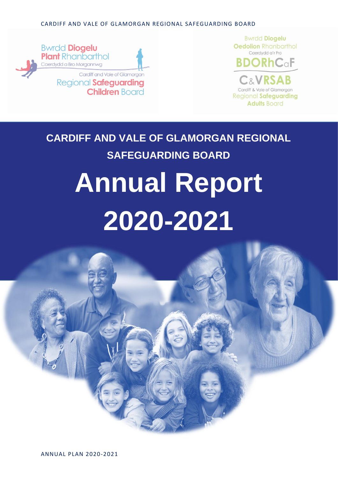#### CARDIFF AND VALE OF GLAMORGAN REGIONAL SAFEGUARDING BOARD



**Bwrdd Diogelu** Oedolion Rhanbarthol Caerdydd a'r Fro  $\mathsf{DRhC}_\circ \mathsf{F}$ **C&VRSAB** Cardiff & Vale of Glamorgan Regional Safeguarding **Adults Board** 

# **CARDIFF AND VALE OF GLAMORGAN REGIONAL SAFEGUARDING BOARD**

# **Annual Report 2020-2021**

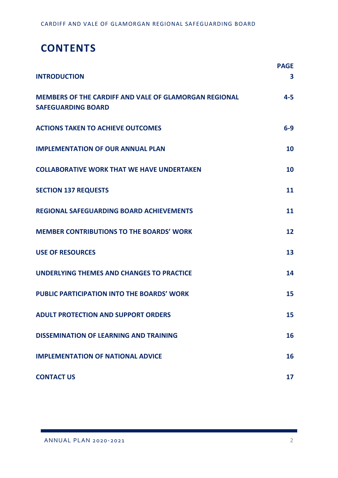## **CONTENTS**

| <b>INTRODUCTION</b>                                                                       | <b>PAGE</b><br>3 |
|-------------------------------------------------------------------------------------------|------------------|
| <b>MEMBERS OF THE CARDIFF AND VALE OF GLAMORGAN REGIONAL</b><br><b>SAFEGUARDING BOARD</b> | $4 - 5$          |
| <b>ACTIONS TAKEN TO ACHIEVE OUTCOMES</b>                                                  | $6-9$            |
| <b>IMPLEMENTATION OF OUR ANNUAL PLAN</b>                                                  | 10               |
| <b>COLLABORATIVE WORK THAT WE HAVE UNDERTAKEN</b>                                         | 10               |
| <b>SECTION 137 REQUESTS</b>                                                               | 11               |
| <b>REGIONAL SAFEGUARDING BOARD ACHIEVEMENTS</b>                                           | 11               |
| <b>MEMBER CONTRIBUTIONS TO THE BOARDS' WORK</b>                                           | 12               |
| <b>USE OF RESOURCES</b>                                                                   | 13               |
| <b>UNDERLYING THEMES AND CHANGES TO PRACTICE</b>                                          | 14               |
| <b>PUBLIC PARTICIPATION INTO THE BOARDS' WORK</b>                                         | 15               |
| <b>ADULT PROTECTION AND SUPPORT ORDERS</b>                                                | 15               |
| <b>DISSEMINATION OF LEARNING AND TRAINING</b>                                             | 16               |
| <b>IMPLEMENTATION OF NATIONAL ADVICE</b>                                                  | 16               |
| <b>CONTACT US</b>                                                                         | 17               |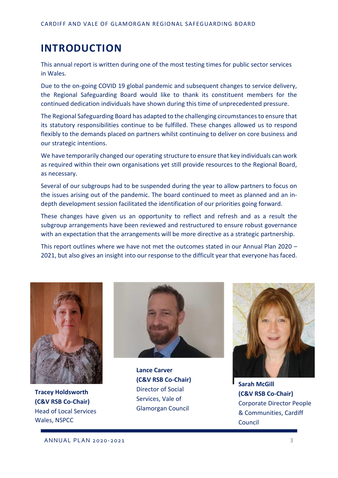## **INTRODUCTION**

This annual report is written during one of the most testing times for public sector services in Wales.

Due to the on-going COVID 19 global pandemic and subsequent changes to service delivery, the Regional Safeguarding Board would like to thank its constituent members for the continued dedication individuals have shown during this time of unprecedented pressure.

The Regional Safeguarding Board has adapted to the challenging circumstances to ensure that its statutory responsibilities continue to be fulfilled. These changes allowed us to respond flexibly to the demands placed on partners whilst continuing to deliver on core business and our strategic intentions.

We have temporarily changed our operating structure to ensure that key individuals can work as required within their own organisations yet still provide resources to the Regional Board, as necessary.

Several of our subgroups had to be suspended during the year to allow partners to focus on the issues arising out of the pandemic. The board continued to meet as planned and an indepth development session facilitated the identification of our priorities going forward.

These changes have given us an opportunity to reflect and refresh and as a result the subgroup arrangements have been reviewed and restructured to ensure robust governance with an expectation that the arrangements will be more directive as a strategic partnership.

This report outlines where we have not met the outcomes stated in our Annual Plan 2020 – 2021, but also gives an insight into our response to the difficult year that everyone has faced.



**Tracey Holdsworth (C&V RSB Co-Chair)** Head of Local Services Wales, NSPCC



**Lance Carver (C&V RSB Co-Chair)** Director of Social Services, Vale of Glamorgan Council



**Sarah McGill (C&V RSB Co-Chair)** Corporate Director People & Communities, Cardiff Council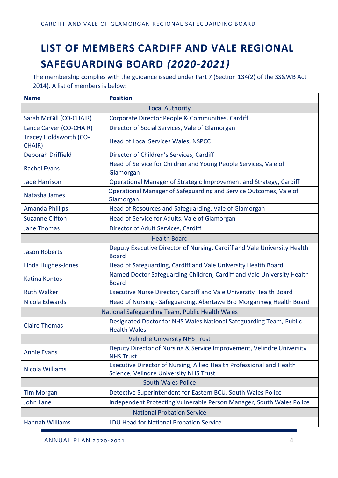# **LIST OF MEMBERS CARDIFF AND VALE REGIONAL SAFEGUARDING BOARD** *(2020-2021)*

The membership complies with the guidance issued under Part 7 (Section 134(2) of the SS&WB Act 2014). A list of members is below:

| <b>Name</b>                                     | <b>Position</b>                                                                                                |  |  |  |
|-------------------------------------------------|----------------------------------------------------------------------------------------------------------------|--|--|--|
| <b>Local Authority</b>                          |                                                                                                                |  |  |  |
| Sarah McGill (CO-CHAIR)                         | Corporate Director People & Communities, Cardiff                                                               |  |  |  |
| Lance Carver (CO-CHAIR)                         | Director of Social Services, Vale of Glamorgan                                                                 |  |  |  |
| Tracey Holdsworth (CO-<br>CHAIR)                | Head of Local Services Wales, NSPCC                                                                            |  |  |  |
| <b>Deborah Driffield</b>                        | Director of Children's Services, Cardiff                                                                       |  |  |  |
| <b>Rachel Evans</b>                             | Head of Service for Children and Young People Services, Vale of<br>Glamorgan                                   |  |  |  |
| <b>Jade Harrison</b>                            | Operational Manager of Strategic Improvement and Strategy, Cardiff                                             |  |  |  |
| Natasha James                                   | Operational Manager of Safeguarding and Service Outcomes, Vale of<br>Glamorgan                                 |  |  |  |
| <b>Amanda Phillips</b>                          | Head of Resources and Safeguarding, Vale of Glamorgan                                                          |  |  |  |
| <b>Suzanne Clifton</b>                          | Head of Service for Adults, Vale of Glamorgan                                                                  |  |  |  |
| <b>Jane Thomas</b>                              | Director of Adult Services, Cardiff                                                                            |  |  |  |
| <b>Health Board</b>                             |                                                                                                                |  |  |  |
| <b>Jason Roberts</b>                            | Deputy Executive Director of Nursing, Cardiff and Vale University Health<br><b>Board</b>                       |  |  |  |
| Linda Hughes-Jones                              | Head of Safeguarding, Cardiff and Vale University Health Board                                                 |  |  |  |
| <b>Katina Kontos</b>                            | Named Doctor Safeguarding Children, Cardiff and Vale University Health<br><b>Board</b>                         |  |  |  |
| <b>Ruth Walker</b>                              | Executive Nurse Director, Cardiff and Vale University Health Board                                             |  |  |  |
| Nicola Edwards                                  | Head of Nursing - Safeguarding, Abertawe Bro Morgannwg Health Board                                            |  |  |  |
| National Safeguarding Team, Public Health Wales |                                                                                                                |  |  |  |
| <b>Claire Thomas</b>                            | Designated Doctor for NHS Wales National Safeguarding Team, Public<br><b>Health Wales</b>                      |  |  |  |
|                                                 | <b>Velindre University NHS Trust</b>                                                                           |  |  |  |
| <b>Annie Evans</b>                              | Deputy Director of Nursing & Service Improvement, Velindre University<br><b>NHS Trust</b>                      |  |  |  |
| Nicola Williams                                 | Executive Director of Nursing, Allied Health Professional and Health<br>Science, Velindre University NHS Trust |  |  |  |
| <b>South Wales Police</b>                       |                                                                                                                |  |  |  |
| <b>Tim Morgan</b>                               | Detective Superintendent for Eastern BCU, South Wales Police                                                   |  |  |  |
| <b>John Lane</b>                                | Independent Protecting Vulnerable Person Manager, South Wales Police                                           |  |  |  |
| <b>National Probation Service</b>               |                                                                                                                |  |  |  |
| <b>Hannah Williams</b>                          | LDU Head for National Probation Service                                                                        |  |  |  |

ANNUAL PLAN 2020-2021 4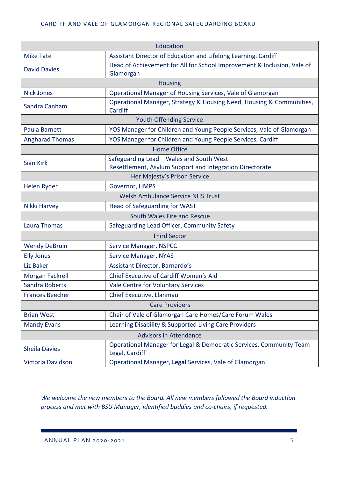#### CARDIFF AND VALE OF GLAMORGAN REGIONAL SAFEGUARDING BOARD

| Education                                                |                                                                                       |  |  |  |
|----------------------------------------------------------|---------------------------------------------------------------------------------------|--|--|--|
| <b>Mike Tate</b>                                         | Assistant Director of Education and Lifelong Learning, Cardiff                        |  |  |  |
| <b>David Davies</b>                                      | Head of Achievement for All for School Improvement & Inclusion, Vale of               |  |  |  |
|                                                          | Glamorgan                                                                             |  |  |  |
|                                                          | <b>Housing</b>                                                                        |  |  |  |
| <b>Nick Jones</b>                                        | Operational Manager of Housing Services, Vale of Glamorgan                            |  |  |  |
| Sandra Canham                                            | Operational Manager, Strategy & Housing Need, Housing & Communities,<br>Cardiff       |  |  |  |
|                                                          | <b>Youth Offending Service</b>                                                        |  |  |  |
| Paula Barnett                                            | YOS Manager for Children and Young People Services, Vale of Glamorgan                 |  |  |  |
| <b>Angharad Thomas</b>                                   | YOS Manager for Children and Young People Services, Cardiff                           |  |  |  |
|                                                          | <b>Home Office</b>                                                                    |  |  |  |
| <b>Sian Kirk</b>                                         | Safeguarding Lead - Wales and South West                                              |  |  |  |
| Resettlement, Asylum Support and Integration Directorate |                                                                                       |  |  |  |
| Her Majesty's Prison Service                             |                                                                                       |  |  |  |
| Helen Ryder                                              | Governor, HMPS                                                                        |  |  |  |
|                                                          | <b>Welsh Ambulance Service NHS Trust</b>                                              |  |  |  |
| Nikki Harvey                                             | <b>Head of Safeguarding for WAST</b>                                                  |  |  |  |
|                                                          | South Wales Fire and Rescue                                                           |  |  |  |
| <b>Laura Thomas</b>                                      | Safeguarding Lead Officer, Community Safety                                           |  |  |  |
|                                                          | <b>Third Sector</b>                                                                   |  |  |  |
| <b>Wendy DeBruin</b>                                     | <b>Service Manager, NSPCC</b>                                                         |  |  |  |
| <b>Elly Jones</b>                                        | <b>Service Manager, NYAS</b>                                                          |  |  |  |
| Liz Baker                                                | Assistant Director, Barnardo's                                                        |  |  |  |
| Morgan Fackrell                                          | Chief Executive of Cardiff Women's Aid                                                |  |  |  |
| <b>Sandra Roberts</b>                                    | Vale Centre for Voluntary Services                                                    |  |  |  |
| <b>Frances Beecher</b>                                   | Chief Executive, Llanmau                                                              |  |  |  |
| <b>Care Providers</b>                                    |                                                                                       |  |  |  |
| <b>Brian West</b>                                        | Chair of Vale of Glamorgan Care Homes/Care Forum Wales                                |  |  |  |
| <b>Mandy Evans</b>                                       | Learning Disability & Supported Living Care Providers                                 |  |  |  |
| <b>Advisors in Attendance</b>                            |                                                                                       |  |  |  |
| <b>Sheila Davies</b>                                     | Operational Manager for Legal & Democratic Services, Community Team<br>Legal, Cardiff |  |  |  |
| Victoria Davidson                                        | Operational Manager, Legal Services, Vale of Glamorgan                                |  |  |  |

*We welcome the new members to the Board. All new members followed the Board induction process and met with BSU Manager, identified buddies and co-chairs, if requested.*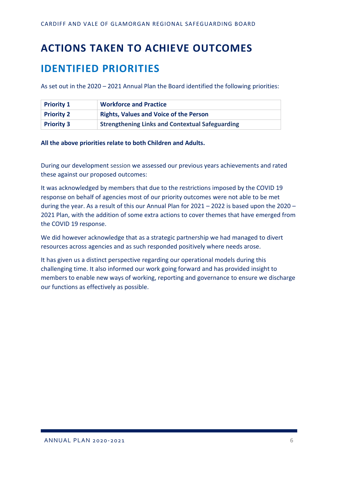## **ACTIONS TAKEN TO ACHIEVE OUTCOMES**

## **IDENTIFIED PRIORITIES**

As set out in the 2020 – 2021 Annual Plan the Board identified the following priorities:

| <b>Priority 1</b> | <b>Workforce and Practice</b>                          |
|-------------------|--------------------------------------------------------|
| <b>Priority 2</b> | <b>Rights, Values and Voice of the Person</b>          |
| <b>Priority 3</b> | <b>Strengthening Links and Contextual Safeguarding</b> |

#### **All the above priorities relate to both Children and Adults.**

During our development session we assessed our previous years achievements and rated these against our proposed outcomes:

It was acknowledged by members that due to the restrictions imposed by the COVID 19 response on behalf of agencies most of our priority outcomes were not able to be met during the year. As a result of this our Annual Plan for 2021 – 2022 is based upon the 2020 – 2021 Plan, with the addition of some extra actions to cover themes that have emerged from the COVID 19 response.

We did however acknowledge that as a strategic partnership we had managed to divert resources across agencies and as such responded positively where needs arose.

It has given us a distinct perspective regarding our operational models during this challenging time. It also informed our work going forward and has provided insight to members to enable new ways of working, reporting and governance to ensure we discharge our functions as effectively as possible.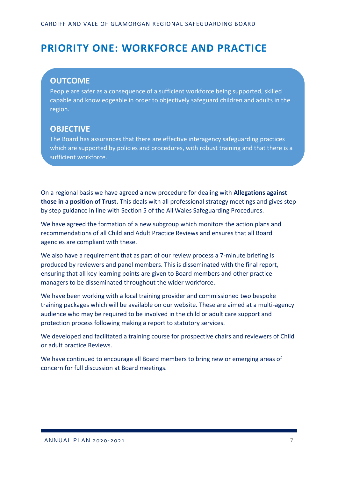## **PRIORITY ONE: WORKFORCE AND PRACTICE**

## **OUTCOME**

People are safer as a consequence of a sufficient workforce being supported, skilled capable and knowledgeable in order to objectively safeguard children and adults in the region.

#### **OBJECTIVE**

The Board has assurances that there are effective interagency safeguarding practices which are supported by policies and procedures, with robust training and that there is a sufficient workforce.

On a regional basis we have agreed a new procedure for dealing with **Allegations against those in a position of Trust.** This deals with all professional strategy meetings and gives step by step guidance in line with Section 5 of the All Wales Safeguarding Procedures.

We have agreed the formation of a new subgroup which monitors the action plans and recommendations of all Child and Adult Practice Reviews and ensures that all Board agencies are compliant with these.

We also have a requirement that as part of our review process a 7-minute briefing is produced by reviewers and panel members. This is disseminated with the final report, ensuring that all key learning points are given to Board members and other practice managers to be disseminated throughout the wider workforce.

We have been working with a local training provider and commissioned two bespoke training packages which will be available on our website. These are aimed at a multi-agency audience who may be required to be involved in the child or adult care support and protection process following making a report to statutory services.

We developed and facilitated a training course for prospective chairs and reviewers of Child or adult practice Reviews.

We have continued to encourage all Board members to bring new or emerging areas of concern for full discussion at Board meetings.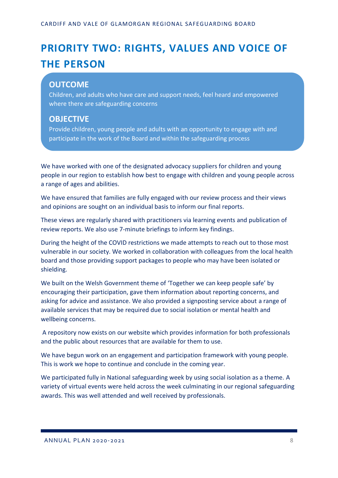# **PRIORITY TWO: RIGHTS, VALUES AND VOICE OF THE PERSON**

#### **OUTCOME**

Children, and adults who have care and support needs, feel heard and empowered where there are safeguarding concerns

#### **OBJECTIVE**

Provide children, young people and adults with an opportunity to engage with and participate in the work of the Board and within the safeguarding process

We have worked with one of the designated advocacy suppliers for children and young people in our region to establish how best to engage with children and young people across a range of ages and abilities.

We have ensured that families are fully engaged with our review process and their views and opinions are sought on an individual basis to inform our final reports.

These views are regularly shared with practitioners via learning events and publication of review reports. We also use 7-minute briefings to inform key findings.

During the height of the COVID restrictions we made attempts to reach out to those most vulnerable in our society. We worked in collaboration with colleagues from the local health board and those providing support packages to people who may have been isolated or shielding.

We built on the Welsh Government theme of 'Together we can keep people safe' by encouraging their participation, gave them information about reporting concerns, and asking for advice and assistance. We also provided a signposting service about a range of available services that may be required due to social isolation or mental health and wellbeing concerns.

A repository now exists on our website which provides information for both professionals and the public about resources that are available for them to use.

We have begun work on an engagement and participation framework with young people. This is work we hope to continue and conclude in the coming year.

We participated fully in National safeguarding week by using social isolation as a theme. A variety of virtual events were held across the week culminating in our regional safeguarding awards. This was well attended and well received by professionals.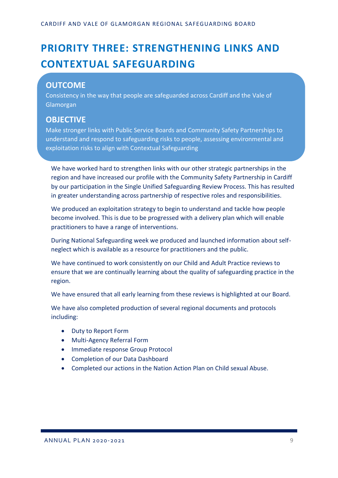# **PRIORITY THREE: STRENGTHENING LINKS AND CONTEXTUAL SAFEGUARDING**

## **OUTCOME**

Consistency in the way that people are safeguarded across Cardiff and the Vale of Glamorgan

#### **OBJECTIVE**

exploitation risks to align with Contextual Safeguarding<br> **Notation** risks to align with Contextual Safeguarding Make stronger links with Public Service Boards and Community Safety Partnerships to understand and respond to safeguarding risks to people, assessing environmental and

We have worked hard to strengthen links with our other strategic partnerships in the region and have increased our profile with the Community Safety Partnership in Cardiff by our participation in the Single Unified Safeguarding Review Process. This has resulted in greater understanding across partnership of respective roles and responsibilities.

We produced an exploitation strategy to begin to understand and tackle how people become involved. This is due to be progressed with a delivery plan which will enable practitioners to have a range of interventions.

During National Safeguarding week we produced and launched information about selfneglect which is available as a resource for practitioners and the public.

We have continued to work consistently on our Child and Adult Practice reviews to ensure that we are continually learning about the quality of safeguarding practice in the region.

We have ensured that all early learning from these reviews is highlighted at our Board.

We have also completed production of several regional documents and protocols including:

- Duty to Report Form
- Multi-Agency Referral Form
- Immediate response Group Protocol
- Completion of our Data Dashboard
- Completed our actions in the Nation Action Plan on Child sexual Abuse.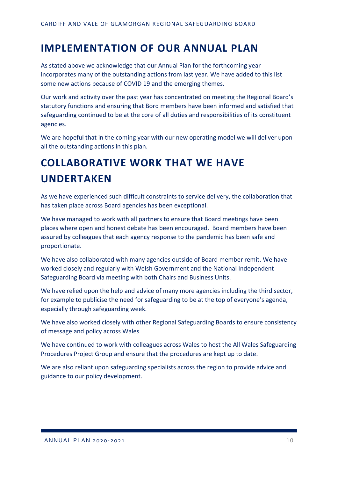## **IMPLEMENTATION OF OUR ANNUAL PLAN**

As stated above we acknowledge that our Annual Plan for the forthcoming year incorporates many of the outstanding actions from last year. We have added to this list some new actions because of COVID 19 and the emerging themes.

Our work and activity over the past year has concentrated on meeting the Regional Board's statutory functions and ensuring that Bord members have been informed and satisfied that safeguarding continued to be at the core of all duties and responsibilities of its constituent agencies.

We are hopeful that in the coming year with our new operating model we will deliver upon all the outstanding actions in this plan.

# **COLLABORATIVE WORK THAT WE HAVE UNDERTAKEN**

As we have experienced such difficult constraints to service delivery, the collaboration that has taken place across Board agencies has been exceptional.

We have managed to work with all partners to ensure that Board meetings have been places where open and honest debate has been encouraged. Board members have been assured by colleagues that each agency response to the pandemic has been safe and proportionate.

We have also collaborated with many agencies outside of Board member remit. We have worked closely and regularly with Welsh Government and the National Independent Safeguarding Board via meeting with both Chairs and Business Units.

We have relied upon the help and advice of many more agencies including the third sector, for example to publicise the need for safeguarding to be at the top of everyone's agenda, especially through safeguarding week.

We have also worked closely with other Regional Safeguarding Boards to ensure consistency of message and policy across Wales

We have continued to work with colleagues across Wales to host the All Wales Safeguarding Procedures Project Group and ensure that the procedures are kept up to date.

We are also reliant upon safeguarding specialists across the region to provide advice and guidance to our policy development.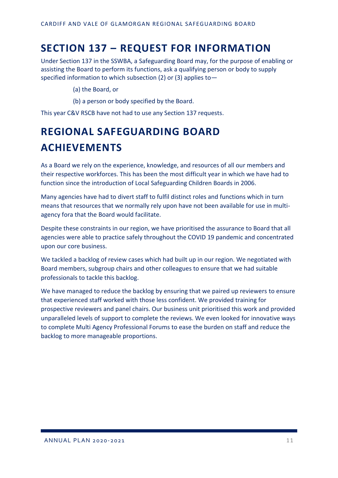## **SECTION 137 – REQUEST FOR INFORMATION**

Under Section 137 in the SSWBA, a Safeguarding Board may, for the purpose of enabling or assisting the Board to perform its functions, ask a qualifying person or body to supply specified information to which subsection (2) or (3) applies to—

- (a) the Board, or
- (b) a person or body specified by the Board.

This year C&V RSCB have not had to use any Section 137 requests.

# **REGIONAL SAFEGUARDING BOARD ACHIEVEMENTS**

As a Board we rely on the experience, knowledge, and resources of all our members and their respective workforces. This has been the most difficult year in which we have had to function since the introduction of Local Safeguarding Children Boards in 2006.

Many agencies have had to divert staff to fulfil distinct roles and functions which in turn means that resources that we normally rely upon have not been available for use in multiagency fora that the Board would facilitate.

Despite these constraints in our region, we have prioritised the assurance to Board that all agencies were able to practice safely throughout the COVID 19 pandemic and concentrated upon our core business.

We tackled a backlog of review cases which had built up in our region. We negotiated with Board members, subgroup chairs and other colleagues to ensure that we had suitable professionals to tackle this backlog.

We have managed to reduce the backlog by ensuring that we paired up reviewers to ensure that experienced staff worked with those less confident. We provided training for prospective reviewers and panel chairs. Our business unit prioritised this work and provided unparalleled levels of support to complete the reviews. We even looked for innovative ways to complete Multi Agency Professional Forums to ease the burden on staff and reduce the backlog to more manageable proportions.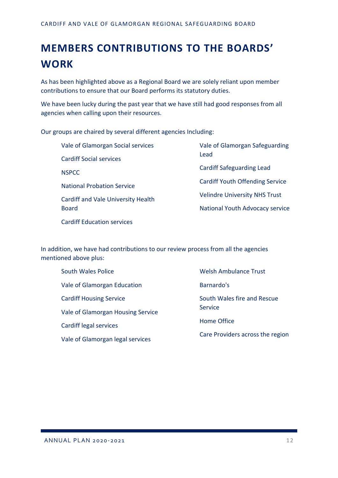# **MEMBERS CONTRIBUTIONS TO THE BOARDS' WORK**

As has been highlighted above as a Regional Board we are solely reliant upon member contributions to ensure that our Board performs its statutory duties.

We have been lucky during the past year that we have still had good responses from all agencies when calling upon their resources.

Our groups are chaired by several different agencies Including:

| Vale of Glamorgan Social services         | Vale of Glamorgan Safeguarding<br>Lead |  |
|-------------------------------------------|----------------------------------------|--|
| <b>Cardiff Social services</b>            |                                        |  |
| <b>NSPCC</b>                              | <b>Cardiff Safeguarding Lead</b>       |  |
| <b>National Probation Service</b>         | <b>Cardiff Youth Offending Service</b> |  |
| <b>Cardiff and Vale University Health</b> | <b>Velindre University NHS Trust</b>   |  |
| <b>Board</b>                              | <b>National Youth Advocacy service</b> |  |
| <b>Cardiff Education services</b>         |                                        |  |

In addition, we have had contributions to our review process from all the agencies mentioned above plus:

| South Wales Police                | <b>Welsh Ambulance Trust</b>     |  |
|-----------------------------------|----------------------------------|--|
| Vale of Glamorgan Education       | Barnardo's                       |  |
| <b>Cardiff Housing Service</b>    | South Wales fire and Rescue      |  |
| Vale of Glamorgan Housing Service | <b>Service</b>                   |  |
| Cardiff legal services            | Home Office                      |  |
| Vale of Glamorgan legal services  | Care Providers across the region |  |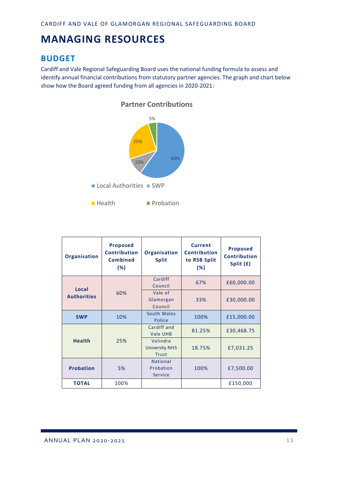## **MANAGING RESOURCES**

#### **BUDGET**

Cardiff and Vale Regional Safeguarding Board uses the national funding formula to assess and identify annual financial contributions from statutory partner agencies. The graph and chart below show how the Board agreed funding from all agencies in 2020-2021:



**Partner Contributions** 

| Organisation                | <b>Proposed</b><br><b>Contribution</b><br><b>Combined</b><br>$(\% )$ | <b>Organisation</b><br><b>Split</b>               | <b>Current</b><br><b>Contribution</b><br>to RSB Split<br>(%) | <b>Proposed</b><br><b>Contribution</b><br>Split $(f)$ |
|-----------------------------|----------------------------------------------------------------------|---------------------------------------------------|--------------------------------------------------------------|-------------------------------------------------------|
| Local<br><b>Authorities</b> | 60%                                                                  | Cardiff<br>Council                                | 67%                                                          | £60,000.00                                            |
|                             |                                                                      | Vale of<br>Glamorgan<br>Council                   | 33%                                                          | £30,000.00                                            |
| <b>SWP</b>                  | 10%                                                                  | South Wales<br>Police                             | 100%                                                         | £15,000.00                                            |
| <b>Health</b>               | 25%                                                                  | Cardiff and<br>Vale UHB                           | 81.25%                                                       | £30,468.75                                            |
|                             |                                                                      | Velindre<br><b>University NHS</b><br><b>Trust</b> | 18.75%                                                       | £7,031.25                                             |
| <b>Probation</b>            | 5%                                                                   | <b>National</b><br>Probation<br>Service           | 100%                                                         | £7,500.00                                             |
| <b>TOTAL</b>                | 100%                                                                 |                                                   |                                                              | £150,000                                              |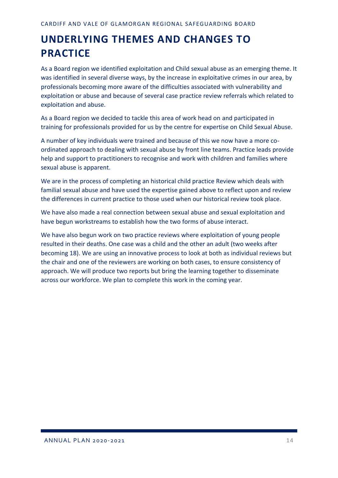## **UNDERLYING THEMES AND CHANGES TO PRACTICE**

As a Board region we identified exploitation and Child sexual abuse as an emerging theme. It was identified in several diverse ways, by the increase in exploitative crimes in our area, by professionals becoming more aware of the difficulties associated with vulnerability and exploitation or abuse and because of several case practice review referrals which related to exploitation and abuse.

As a Board region we decided to tackle this area of work head on and participated in training for professionals provided for us by the centre for expertise on Child Sexual Abuse.

A number of key individuals were trained and because of this we now have a more coordinated approach to dealing with sexual abuse by front line teams. Practice leads provide help and support to practitioners to recognise and work with children and families where sexual abuse is apparent.

We are in the process of completing an historical child practice Review which deals with familial sexual abuse and have used the expertise gained above to reflect upon and review the differences in current practice to those used when our historical review took place.

We have also made a real connection between sexual abuse and sexual exploitation and have begun workstreams to establish how the two forms of abuse interact.

We have also begun work on two practice reviews where exploitation of young people resulted in their deaths. One case was a child and the other an adult (two weeks after becoming 18). We are using an innovative process to look at both as individual reviews but the chair and one of the reviewers are working on both cases, to ensure consistency of approach. We will produce two reports but bring the learning together to disseminate across our workforce. We plan to complete this work in the coming year.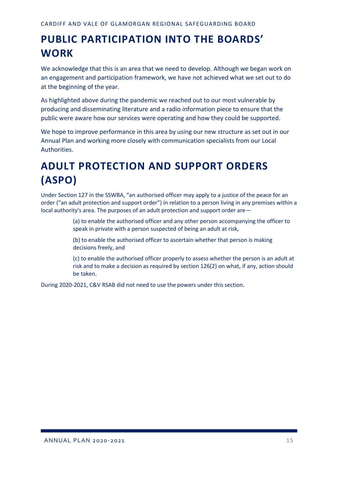## **PUBLIC PARTICIPATION INTO THE BOARDS' WORK**

We acknowledge that this is an area that we need to develop. Although we began work on an engagement and participation framework, we have not achieved what we set out to do at the beginning of the year.

As highlighted above during the pandemic we reached out to our most vulnerable by producing and disseminating literature and a radio information piece to ensure that the public were aware how our services were operating and how they could be supported.

We hope to improve performance in this area by using our new structure as set out in our Annual Plan and working more closely with communication specialists from our Local Authorities.

## **ADULT PROTECTION AND SUPPORT ORDERS (ASPO)**

Under Section 127 in the SSWBA, "an authorised officer may apply to a justice of the peace for an order ("an adult protection and support order") in relation to a person living in any premises within a local authority's area. The purposes of an adult protection and support order are—

> (a) to enable the authorised officer and any other person accompanying the officer to speak in private with a person suspected of being an adult at risk,

(b) to enable the authorised officer to ascertain whether that person is making decisions freely, and

(c) to enable the authorised officer properly to assess whether the person is an adult at risk and to make a decision as required by section 126(2) on what, if any, action should be taken.

During 2020-2021, C&V RSAB did not need to use the powers under this section.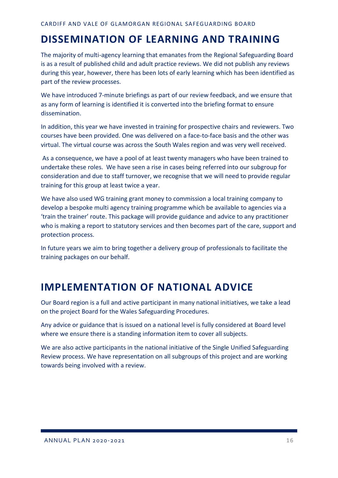## **DISSEMINATION OF LEARNING AND TRAINING**

The majority of multi-agency learning that emanates from the Regional Safeguarding Board is as a result of published child and adult practice reviews. We did not publish any reviews during this year, however, there has been lots of early learning which has been identified as part of the review processes.

We have introduced 7-minute briefings as part of our review feedback, and we ensure that as any form of learning is identified it is converted into the briefing format to ensure dissemination.

In addition, this year we have invested in training for prospective chairs and reviewers. Two courses have been provided. One was delivered on a face-to-face basis and the other was virtual. The virtual course was across the South Wales region and was very well received.

As a consequence, we have a pool of at least twenty managers who have been trained to undertake these roles. We have seen a rise in cases being referred into our subgroup for consideration and due to staff turnover, we recognise that we will need to provide regular training for this group at least twice a year.

We have also used WG training grant money to commission a local training company to develop a bespoke multi agency training programme which be available to agencies via a 'train the trainer' route. This package will provide guidance and advice to any practitioner who is making a report to statutory services and then becomes part of the care, support and protection process.

In future years we aim to bring together a delivery group of professionals to facilitate the training packages on our behalf.

## **IMPLEMENTATION OF NATIONAL ADVICE**

Our Board region is a full and active participant in many national initiatives, we take a lead on the project Board for the Wales Safeguarding Procedures.

Any advice or guidance that is issued on a national level is fully considered at Board level where we ensure there is a standing information item to cover all subjects.

We are also active participants in the national initiative of the Single Unified Safeguarding Review process. We have representation on all subgroups of this project and are working towards being involved with a review.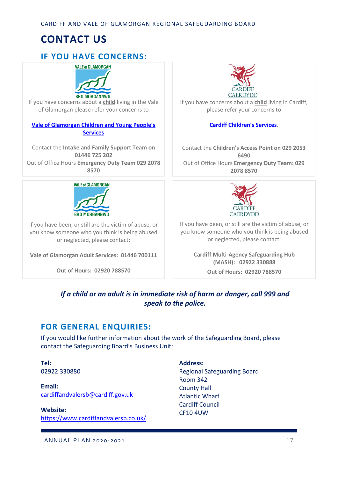## **CONTACT US**

## **IF YOU HAVE CONCERNS:**



If you have concerns about a **child** living in the Vale of Glamorgan please refer your concerns to

#### **[Vale of Glamorgan Children and Young People's](https://www.valeofglamorgan.gov.uk/en/living/social_care/children_and_young_people/Child-Protection/Child-Protection.aspx)  [Services](https://www.valeofglamorgan.gov.uk/en/living/social_care/children_and_young_people/Child-Protection/Child-Protection.aspx)**

Contact the **Intake and Family Support Team on 01446 725 202** Out of Office Hours **Emergency Duty Team 029 2078 8570**

#### **VALE of GLAMORGAN**



If you have been, or still are the victim of abuse, or you know someone who you think is being abused or neglected, please contact:

**Vale of Glamorgan Adult Services: 01446 700111**

**Out of Hours: 02920 788570**



If you have concerns about a **child** living in Cardiff, please refer your concerns to

#### **[Cardiff Children's Services](https://www.cardiff.gov.uk/ENG/resident/Social-Services-and-Wellbeing/Children/Protecting-children/Pages/default.aspx)**.

Contact the **Children's Access Point on 029 2053 6490** Out of Office Hours **Emergency Duty Team: 029 2078 8570**



If you have been, or still are the victim of abuse, or you know someone who you think is being abused or neglected, please contact:

> **Cardiff Multi-Agency Safeguarding Hub (MASH): 02922 330888 Out of Hours: 02920 788570**

#### *If a child or an adult is in immediate risk of harm or danger, call 999 and speak to the police.*

#### **FOR GENERAL ENQUIRIES:**

If you would like further information about the work of the Safeguarding Board, please contact the Safeguarding Board's Business Unit:

**Tel:** 02922 330880

**Email:** [cardiffandvalersb@cardiff.gov.uk](mailto:cardiffandvalersb@cardiff.gov.uk)

**Website:** <https://www.cardiffandvalersb.co.uk/> **Address:** Regional Safeguarding Board Room 342 County Hall Atlantic Wharf Cardiff Council CF10 4UW